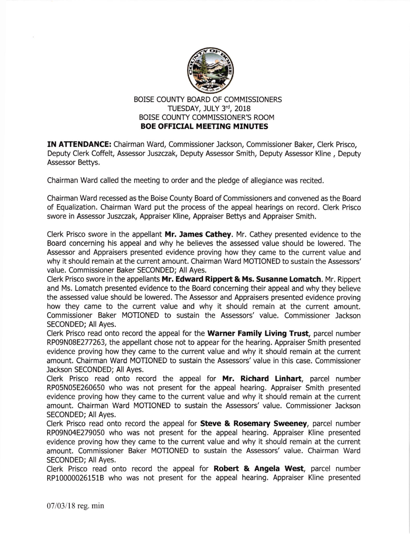

## BOISE COUNTY BOARD OF COMMISSIONERS TUESDAY, JULY 3rd, 2018 BOISE COUNTY COMMISSIONER'S ROOM BOE OFFICIAL MEETING MINUTES

IN ATTENDANCE: Chairman Ward, Commissioner Jackson, Commissioner Baker, Clerk Prisco, Deputy Clerk Coffelt, Assessor Juszczak, Deputy Assessor Smith, Deputy Assessor Kline , Deputy Assessor Bettys.

Chairman Ward called the meeting to order and the pledge of allegiance was recited.

Chairman Ward recessed as the Boise County Board of Commissioners and convened as the Board of Equalization. Chairman Ward put the process of the appeal hearings on record. Clerk Prisco swore in Assessor Juszczak, Appraiser Kline, Appraiser Bettys and Appraiser Smith.

Clerk Prisco swore in the appellant Mr. James Cathey. Mr. Cathey presented evidence to the Board concerning his appeal and why he believes the assessed value should be lowered. The Assessor and Appraisers presented evidence proving how they came to the current value and why it should remain at the current amount. Chairman Ward MOTIONED to sustain the Assessors' value. Commissioner Baker SECONDED; All Ayes.

Clerk Prisco swore in the appellants Mr. Edward Rippert & Ms. Susanne Lomatch. Mr. Rippert and Ms. Lomatch presented evidence to the Board concerning their appeal and why they believe the assessed value should be lowered. The Assessor and Appraisers presented evidence proving how they came to the current value and why it should remain at the current amount. Commissioner Baker MOTIONED to sustain the Assessors' value. Commissioner Jackson SECONDED; All Ayes.

Clerk Prisco read onto record the appeal for the Warner Family Living Trust, parcel number RP09N08E277263, the appellant chose not to appear for the hearing. Appraiser Smith presented evidence proving how they came to the current value and why it should remain at the current amount. Chairman Ward MOTIONED to sustain the Assessors'value in this case. Commissioner Jackson SECONDED; All Ayes.

Clerk Prisco read onto record the appeal for Mr. Richard Linhart, parcel number RP05N05E260650 who was not present for the appeal hearing. Appraiser Smith presented evidence proving how they came to the current value and why it should remain at the current amount. Chairman Ward MOTIONED to sustain the Assessors' value. Commissioner Jackson SECONDED; All Ayes.

Clerk Prisco read onto record the appeal for **Steve & Rosemary Sweeney**, parcel number RP09N04E279050 who was not present for the appeal hearing. Appraiser Kline presented evidence proving how they came to the current value and why it should remain at the current amount. Commissioner Baker MOTIONED to sustain the Assessors' value. Chairman Ward SECONDED; All Ayes.

Clerk Prisco read onto record the appeal for Robert & Angela West, parcel number RP100000261518 who was not present for the appeal hearing. Appraiser Kline presented